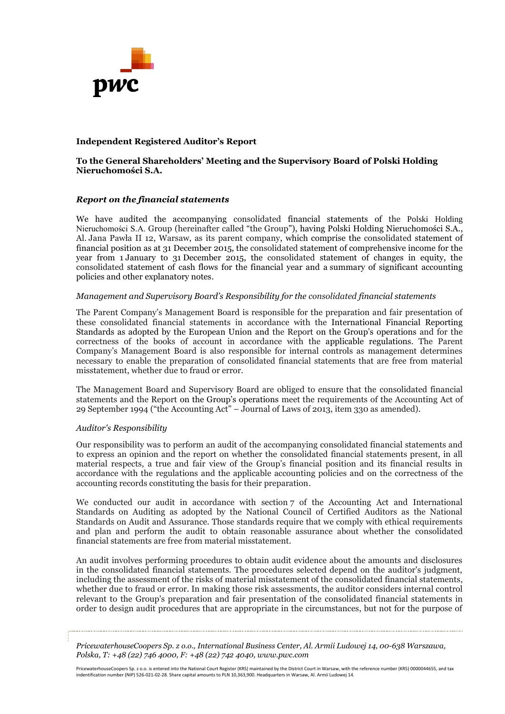

### **Independent Registered Auditor's Report**

### **To the General Shareholders' Meeting and the Supervisory Board of Polski Holding Nieruchomości S.A.**

### *Report on the financial statements*

We have audited the accompanying consolidated financial statements of the Polski Holding Nieruchomości S.A. Group (hereinafter called "the Group"), having Polski Holding Nieruchomości S.A., Al. Jana Pawła II 12, Warsaw, as its parent company, which comprise the consolidated statement of financial position as at 31 December 2015, the consolidated statement of comprehensive income for the year from 1 January to 31 December 2015, the consolidated statement of changes in equity, the consolidated statement of cash flows for the financial year and a summary of significant accounting policies and other explanatory notes.

#### *Management and Supervisory Board's Responsibility for the consolidated financial statements*

The Parent Company's Management Board is responsible for the preparation and fair presentation of these consolidated financial statements in accordance with the International Financial Reporting Standards as adopted by the European Union and the Report on the Group's operations and for the correctness of the books of account in accordance with the applicable regulations. The Parent Company's Management Board is also responsible for internal controls as management determines necessary to enable the preparation of consolidated financial statements that are free from material misstatement, whether due to fraud or error.

The Management Board and Supervisory Board are obliged to ensure that the consolidated financial statements and the Report on the Group's operations meet the requirements of the Accounting Act of 29 September 1994 ("the Accounting Act" – Journal of Laws of 2013, item 330 as amended).

#### *Auditor's Responsibility*

Our responsibility was to perform an audit of the accompanying consolidated financial statements and to express an opinion and the report on whether the consolidated financial statements present, in all material respects, a true and fair view of the Group's financial position and its financial results in accordance with the regulations and the applicable accounting policies and on the correctness of the accounting records constituting the basis for their preparation.

We conducted our audit in accordance with section 7 of the Accounting Act and International Standards on Auditing as adopted by the National Council of Certified Auditors as the National Standards on Audit and Assurance. Those standards require that we comply with ethical requirements and plan and perform the audit to obtain reasonable assurance about whether the consolidated financial statements are free from material misstatement.

An audit involves performing procedures to obtain audit evidence about the amounts and disclosures in the consolidated financial statements. The procedures selected depend on the auditor's judgment, including the assessment of the risks of material misstatement of the consolidated financial statements, whether due to fraud or error. In making those risk assessments, the auditor considers internal control relevant to the Group's preparation and fair presentation of the consolidated financial statements in order to design audit procedures that are appropriate in the circumstances, but not for the purpose of

*PricewaterhouseCoopers Sp. z o.o., International Business Center, Al. Armii Ludowej 14, 00-638 Warszawa, Polska, T: +48 (22) 746 4000, F: +48 (22) 742 4040, www.pwc.com*

PricewaterhouseCoopers Sp. z o.o. is entered into the National Court Register (KRS) maintained by the District Court in Warsaw, with the reference number (KRS) 0000044655, and tax indentification number (NIP) 526-021-02-28. Share capital amounts to PLN 10,363,900. Headquarters in Warsaw, Al. Armii Ludowej 14.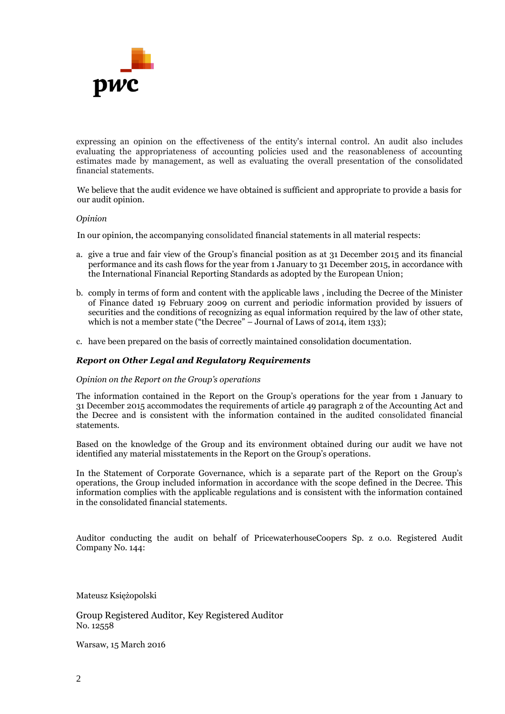

expressing an opinion on the effectiveness of the entity's internal control. An audit also includes evaluating the appropriateness of accounting policies used and the reasonableness of accounting estimates made by management, as well as evaluating the overall presentation of the consolidated financial statements.

We believe that the audit evidence we have obtained is sufficient and appropriate to provide a basis for our audit opinion.

#### *Opinion*

In our opinion, the accompanying consolidated financial statements in all material respects:

- a. give a true and fair view of the Group's financial position as at 31 December 2015 and its financial performance and its cash flows for the year from 1 January to 31 December 2015, in accordance with the International Financial Reporting Standards as adopted by the European Union;
- b. comply in terms of form and content with the applicable laws , including the Decree of the Minister of Finance dated 19 February 2009 on current and periodic information provided by issuers of securities and the conditions of recognizing as equal information required by the law of other state, which is not a member state ("the Decree" – Journal of Laws of 2014, item 133);
- c. have been prepared on the basis of correctly maintained consolidation documentation.

#### *Report on Other Legal and Regulatory Requirements*

#### *Opinion on the Report on the Group's operations*

The information contained in the Report on the Group's operations for the year from 1 January to 31 December 2015 accommodates the requirements of article 49 paragraph 2 of the Accounting Act and the Decree and is consistent with the information contained in the audited consolidated financial statements.

Based on the knowledge of the Group and its environment obtained during our audit we have not identified any material misstatements in the Report on the Group's operations.

In the Statement of Corporate Governance, which is a separate part of the Report on the Group's operations, the Group included information in accordance with the scope defined in the Decree. This information complies with the applicable regulations and is consistent with the information contained in the consolidated financial statements.

Auditor conducting the audit on behalf of PricewaterhouseCoopers Sp. z o.o. Registered Audit Company No. 144:

Mateusz Księżopolski

Group Registered Auditor, Key Registered Auditor No. 12558

Warsaw, 15 March 2016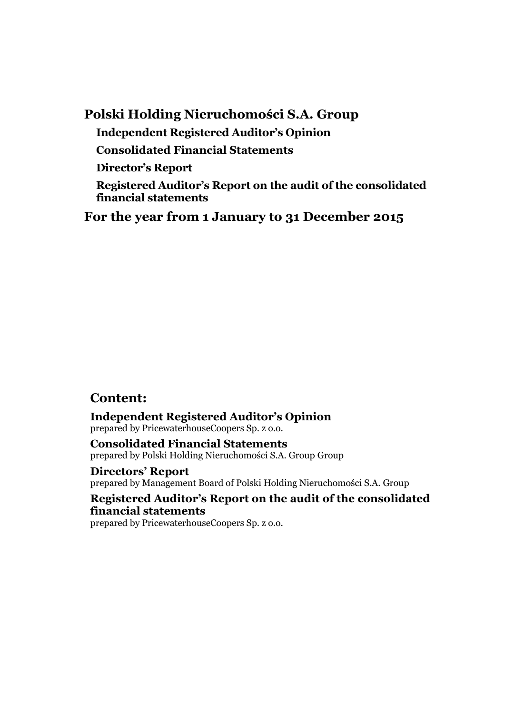# **Polski Holding Nieruchomości S.A. Group Independent Registered Auditor's Opinion Consolidated Financial Statements Director's Report Registered Auditor's Report on the audit of the consolidated financial statements**

**For the year from 1 January to 31 December 2015**

# **Content:**

**Independent Registered Auditor's Opinion** prepared by PricewaterhouseCoopers Sp. z o.o.

**Consolidated Financial Statements** prepared by Polski Holding Nieruchomości S.A. Group Group

**Directors' Report** prepared by Management Board of Polski Holding Nieruchomości S.A. Group

**Registered Auditor's Report on the audit of the consolidated financial statements**

prepared by PricewaterhouseCoopers Sp. z o.o.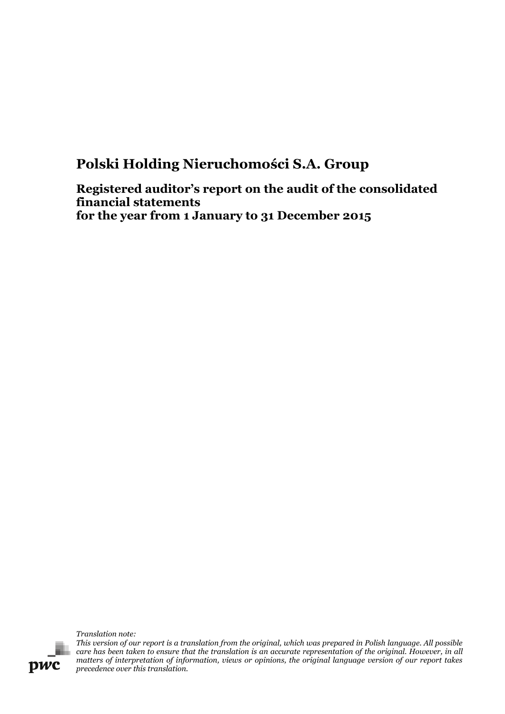# **Polski Holding Nieruchomości S.A. Group**

**Registered auditor's report on the audit of the consolidated financial statements for the year from 1 January to 31 December 2015**

*Translation note:*

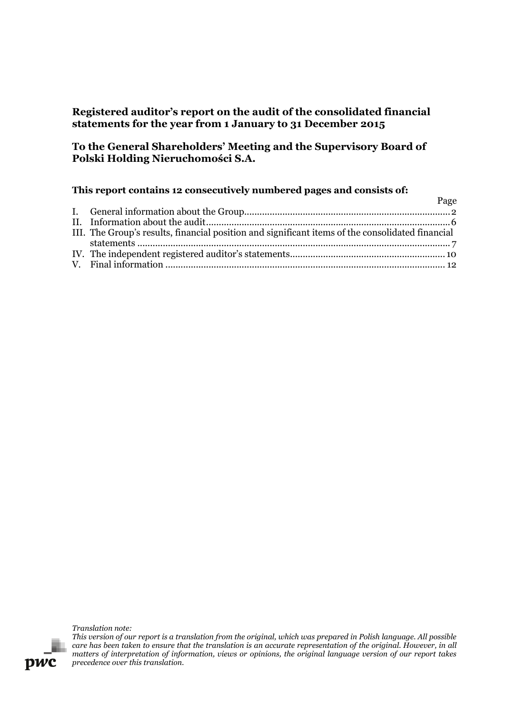# **Registered auditor's report on the audit of the consolidated financial statements for the year from 1 January to 31 December 2015**

# **To the General Shareholders' Meeting and the Supervisory Board of Polski Holding Nieruchomości S.A.**

## **This report contains 12 consecutively numbered pages and consists of:**

|                                                                                                  | Page |
|--------------------------------------------------------------------------------------------------|------|
|                                                                                                  |      |
|                                                                                                  |      |
| III. The Group's results, financial position and significant items of the consolidated financial |      |
|                                                                                                  |      |
|                                                                                                  |      |
|                                                                                                  |      |

*Translation note:*

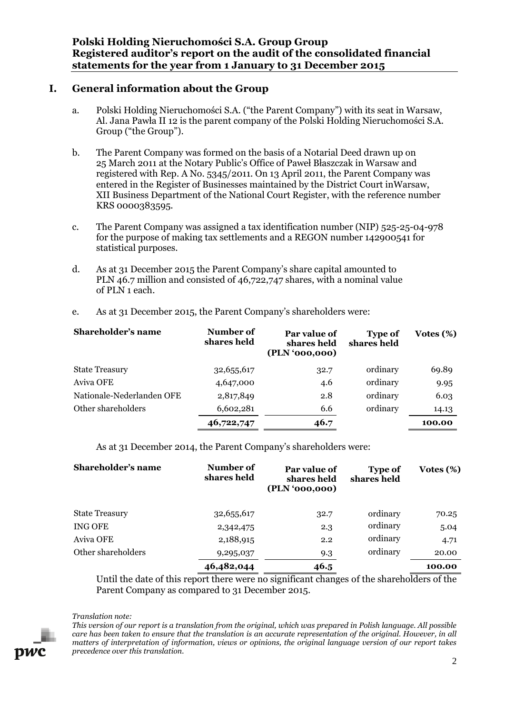- <span id="page-5-0"></span>a. Polski Holding Nieruchomości S.A. ("the Parent Company") with its seat in Warsaw, Al. Jana Pawła II 12 is the parent company of the Polski Holding Nieruchomości S.A. Group ("the Group").
- b. The Parent Company was formed on the basis of a Notarial Deed drawn up on 25 March 2011 at the Notary Public's Office of Paweł Błaszczak in Warsaw and registered with Rep. A No. 5345/2011. On 13 April 2011, the Parent Company was entered in the Register of Businesses maintained by the District Court inWarsaw, XII Business Department of the National Court Register, with the reference number KRS 0000383595.
- c. The Parent Company was assigned a tax identification number (NIP) 525-25-04-978 for the purpose of making tax settlements and a REGON number 142900541 for statistical purposes.
- d. As at 31 December 2015 the Parent Company's share capital amounted to PLN 46.7 million and consisted of 46,722,747 shares, with a nominal value of PLN 1 each.

| Shareholder's name        | Number of<br>shares held | Par value of<br>shares held<br>(PLN '000,000) | <b>Type of</b><br>shares held | Votes $(\%)$ |
|---------------------------|--------------------------|-----------------------------------------------|-------------------------------|--------------|
| <b>State Treasury</b>     | 32,655,617               | 32.7                                          | ordinary                      | 69.89        |
| Aviva OFE                 | 4,647,000                | 4.6                                           | ordinary                      | 9.95         |
| Nationale-Nederlanden OFE | 2,817,849                | 2.8                                           | ordinary                      | 6.03         |
| Other shareholders        | 6,602,281                | 6.6                                           | ordinary                      | 14.13        |
|                           | 46,722,747               | 46.7                                          |                               | 100.00       |

e. As at 31 December 2015, the Parent Company's shareholders were:

As at 31 December 2014, the Parent Company's shareholders were:

| Shareholder's name    | Number of<br>shares held | Par value of<br>shares held<br>(PLN '000,000) | <b>Type of</b><br>shares held | Votes $(\%)$ |
|-----------------------|--------------------------|-----------------------------------------------|-------------------------------|--------------|
| <b>State Treasury</b> | 32,655,617               | 32.7                                          | ordinary                      | 70.25        |
| ING OFE               | 2,342,475                | 2.3                                           | ordinary                      | 5.04         |
| Aviva OFE             | 2,188,915                | 2.2                                           | ordinary                      | 4.71         |
| Other shareholders    | 9,295,037                | 9.3                                           | ordinary                      | 20.00        |
|                       | 46,482,044               | 46.5                                          |                               | 100.00       |

Until the date of this report there were no significant changes of the shareholders of the Parent Company as compared to 31 December 2015.

#### *Translation note:*

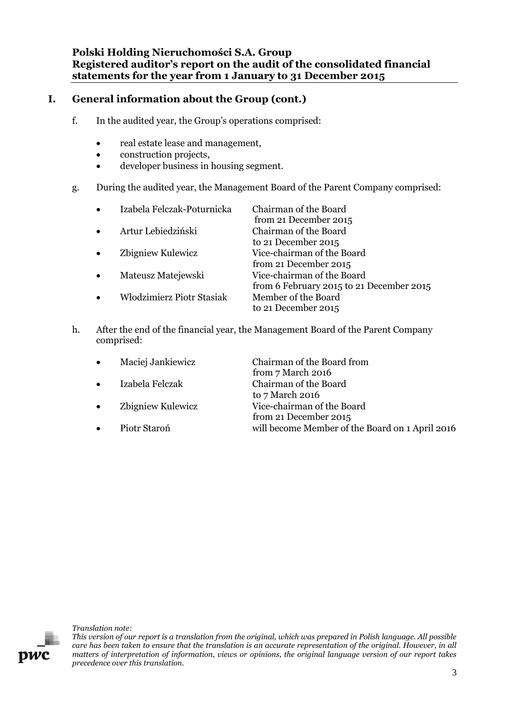**Polski Holding Nieruchomości S.A. Group Registered auditor's report on the audit of the consolidated financial statements for the year from 1 January to 31 December 2015**

# **I. General information about the Group (cont.)**

- f. In the audited year, the Group's operations comprised:
	- real estate lease and management,
	- construction projects,
	- developer business in housing segment.
- g. During the audited year, the Management Board of the Parent Company comprised:

| Izabela Felczak-Poturnicka       | Chairman of the Board                                                  |
|----------------------------------|------------------------------------------------------------------------|
| Artur Lebiedziński               | from 21 December 2015<br>Chairman of the Board                         |
|                                  | to 21 December 2015                                                    |
| Zbigniew Kulewicz                | Vice-chairman of the Board<br>from 21 December 2015                    |
| Mateusz Matejewski               | Vice-chairman of the Board<br>from 6 February 2015 to 21 December 2015 |
| <b>Włodzimierz Piotr Stasiak</b> | Member of the Board<br>to 21 December 2015                             |

h. After the end of the financial year, the Management Board of the Parent Company comprised:

| $\bullet$ | Maciej Jankiewicz | Chairman of the Board from                      |
|-----------|-------------------|-------------------------------------------------|
|           |                   | from 7 March 2016                               |
| $\bullet$ | Izabela Felczak   | Chairman of the Board                           |
|           |                   | to 7 March 2016                                 |
| $\bullet$ | Zbigniew Kulewicz | Vice-chairman of the Board                      |
|           |                   | from 21 December 2015                           |
| $\bullet$ | Piotr Staroń      | will become Member of the Board on 1 April 2016 |



*Translation note:*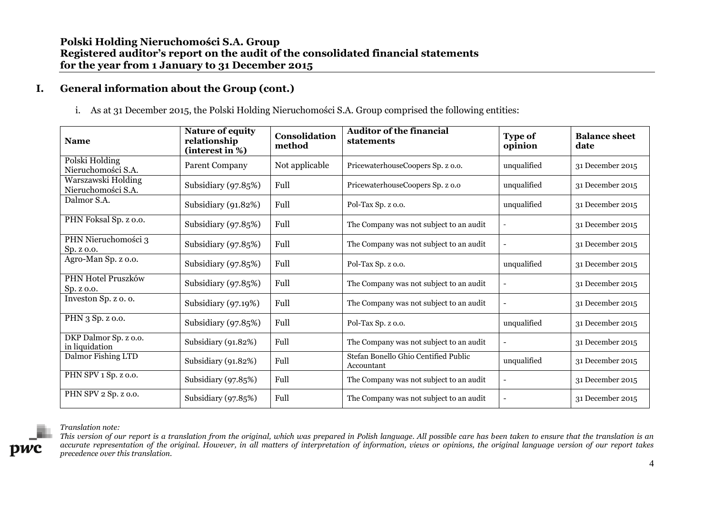i. As at 31 December 2015, the Polski Holding Nieruchomości S.A. Group comprised the following entities:

| <b>Name</b>                              | Nature of equity<br>relationship<br>(interest in %) | Consolidation<br>method | <b>Auditor of the financial</b><br>statements      | <b>Type of</b><br>opinion | <b>Balance sheet</b><br>date |
|------------------------------------------|-----------------------------------------------------|-------------------------|----------------------------------------------------|---------------------------|------------------------------|
| Polski Holding<br>Nieruchomości S.A.     | <b>Parent Company</b>                               | Not applicable          | PricewaterhouseCoopers Sp. z o.o.                  | unqualified               | 31 December 2015             |
| Warszawski Holding<br>Nieruchomości S.A. | Subsidiary (97.85%)                                 | Full                    | PricewaterhouseCoopers Sp. z o.o                   | unqualified               | 31 December 2015             |
| Dalmor S.A.                              | Subsidiary (91.82%)                                 | Full                    | Pol-Tax Sp. z o.o.                                 | unqualified               | 31 December 2015             |
| PHN Foksal Sp. z o.o.                    | Subsidiary (97.85%)                                 | Full                    | The Company was not subject to an audit            |                           | 31 December 2015             |
| PHN Nieruchomości 3<br>Sp. z o.o.        | Subsidiary (97.85%)                                 | Full                    | The Company was not subject to an audit            |                           | 31 December 2015             |
| Agro-Man Sp. z o.o.                      | Subsidiary $(97.85%)$                               | Full                    | Pol-Tax Sp. z o.o.                                 | unqualified               | 31 December 2015             |
| PHN Hotel Pruszków<br>Sp. z o.o.         | Subsidiary (97.85%)                                 | Full                    | The Company was not subject to an audit            |                           | 31 December 2015             |
| Investon Sp. z o. o.                     | Subsidiary (97.19%)                                 | Full                    | The Company was not subject to an audit            |                           | 31 December 2015             |
| PHN 3 Sp. z o.o.                         | Subsidiary (97.85%)                                 | Full                    | Pol-Tax Sp. z o.o.                                 | unqualified               | 31 December 2015             |
| DKP Dalmor Sp. z o.o.<br>in liquidation  | Subsidiary (91.82%)                                 | Full                    | The Company was not subject to an audit            |                           | 31 December 2015             |
| Dalmor Fishing LTD                       | Subsidiary (91.82%)                                 | Full                    | Stefan Bonello Ghio Centified Public<br>Accountant | unqualified               | 31 December 2015             |
| PHN SPV 1 Sp. z o.o.                     | Subsidiary (97.85%)                                 | Full                    | The Company was not subject to an audit            |                           | 31 December 2015             |
| PHN SPV 2 Sp. z o.o.                     | Subsidiary (97.85%)                                 | Full                    | The Company was not subject to an audit            |                           | 31 December 2015             |

#### *Translation note:*

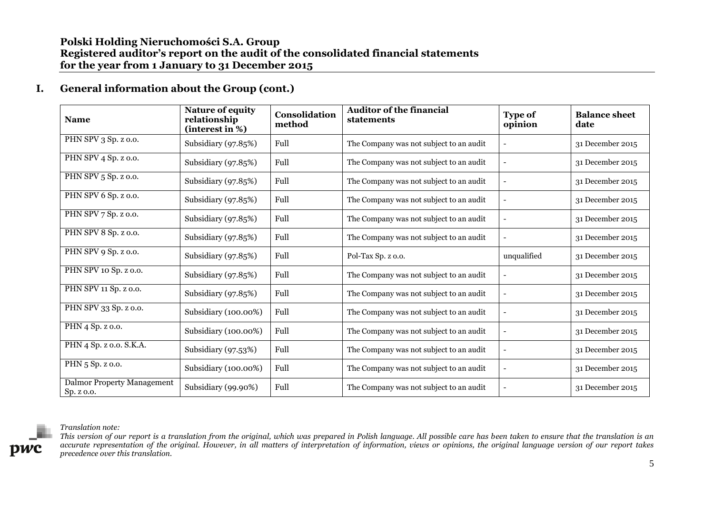| <b>Name</b>                              | <b>Nature of equity</b><br>relationship<br>(interest in %) | Consolidation<br>method | <b>Auditor of the financial</b><br><b>statements</b> | <b>Type of</b><br>opinion | <b>Balance sheet</b><br>date |
|------------------------------------------|------------------------------------------------------------|-------------------------|------------------------------------------------------|---------------------------|------------------------------|
| PHN SPV 3 Sp. z o.o.                     | Subsidiary (97.85%)                                        | Full                    | The Company was not subject to an audit              | -                         | 31 December 2015             |
| PHN SPV 4 Sp. z o.o.                     | Subsidiary (97.85%)                                        | Full                    | The Company was not subject to an audit              |                           | 31 December 2015             |
| PHN SPV 5 Sp. z o.o.                     | Subsidiary (97.85%)                                        | Full                    | The Company was not subject to an audit              |                           | 31 December 2015             |
| PHN SPV 6 Sp. z o.o.                     | Subsidiary (97.85%)                                        | Full                    | The Company was not subject to an audit              | $\overline{\phantom{a}}$  | 31 December 2015             |
| PHN SPV 7 Sp. z o.o.                     | Subsidiary $(97.85%)$                                      | Full                    | The Company was not subject to an audit              |                           | 31 December 2015             |
| PHN SPV 8 Sp. z o.o.                     | Subsidiary $(97.85%)$                                      | Full                    | The Company was not subject to an audit              |                           | 31 December 2015             |
| PHN SPV 9 Sp. z o.o.                     | Subsidiary $(97.85%)$                                      | Full                    | Pol-Tax Sp. z o.o.                                   | unqualified               | 31 December 2015             |
| PHN SPV 10 Sp. z o.o.                    | Subsidiary $(97.85%)$                                      | Full                    | The Company was not subject to an audit              |                           | 31 December 2015             |
| PHN SPV 11 Sp. z o.o.                    | Subsidiary (97.85%)                                        | Full                    | The Company was not subject to an audit              | $\overline{a}$            | 31 December 2015             |
| PHN SPV 33 Sp. z o.o.                    | Subsidiary (100.00%)                                       | Full                    | The Company was not subject to an audit              |                           | 31 December 2015             |
| PHN 4 Sp. z o.o.                         | Subsidiary (100.00%)                                       | Full                    | The Company was not subject to an audit              | $\overline{\phantom{0}}$  | 31 December 2015             |
| PHN 4 Sp. z o.o. S.K.A.                  | Subsidiary (97.53%)                                        | Full                    | The Company was not subject to an audit              | $\overline{a}$            | 31 December 2015             |
| PHN 5 Sp. z o.o.                         | Subsidiary (100.00%)                                       | Full                    | The Company was not subject to an audit              |                           | 31 December 2015             |
| Dalmor Property Management<br>Sp. z o.o. | Subsidiary (99.90%)                                        | Full                    | The Company was not subject to an audit              |                           | 31 December 2015             |

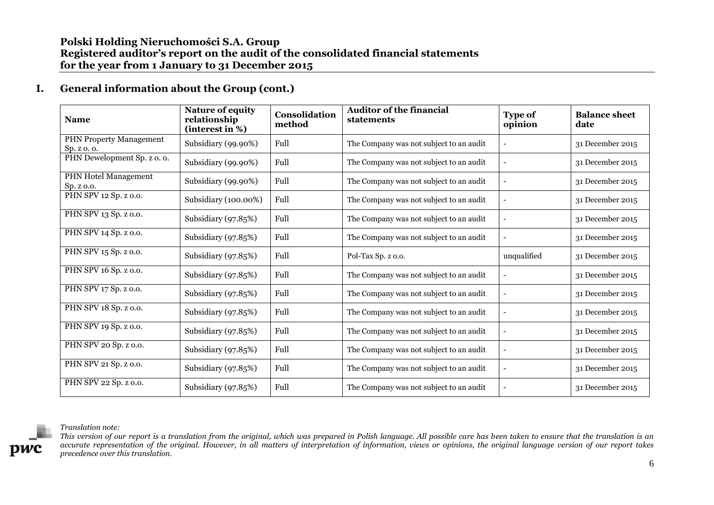| <b>Name</b>                               | <b>Nature of equity</b><br>relationship<br>(interest in %) | Consolidation<br>method | <b>Auditor of the financial</b><br>statements | <b>Type of</b><br>opinion | <b>Balance sheet</b><br>date |
|-------------------------------------------|------------------------------------------------------------|-------------------------|-----------------------------------------------|---------------------------|------------------------------|
| PHN Property Management<br>Sp. z o. o.    | Subsidiary (99.90%)                                        | Full                    | The Company was not subject to an audit       |                           | 31 December 2015             |
| PHN Dewelopment Sp. z o. o.               | Subsidiary (99.90%)                                        | Full                    | The Company was not subject to an audit       |                           | 31 December 2015             |
| <b>PHN Hotel Management</b><br>Sp. z o.o. | Subsidiary (99.90%)                                        | Full                    | The Company was not subject to an audit       |                           | 31 December 2015             |
| PHN SPV 12 Sp. z o.o.                     | Subsidiary (100.00%)                                       | Full                    | The Company was not subject to an audit       | $\overline{a}$            | 31 December 2015             |
| PHN SPV 13 Sp. z o.o.                     | Subsidiary $(97.85%)$                                      | Full                    | The Company was not subject to an audit       |                           | 31 December 2015             |
| PHN SPV 14 Sp. z o.o.                     | Subsidiary $(97.85%)$                                      | Full                    | The Company was not subject to an audit       |                           | 31 December 2015             |
| PHN SPV 15 Sp. z o.o.                     | Subsidiary $(97.85%)$                                      | Full                    | Pol-Tax Sp. z o.o.                            | unqualified               | 31 December 2015             |
| PHN SPV 16 Sp. z o.o.                     | Subsidiary (97.85%)                                        | Full                    | The Company was not subject to an audit       |                           | 31 December 2015             |
| PHN SPV 17 Sp. z o.o.                     | Subsidiary $(97.85%)$                                      | Full                    | The Company was not subject to an audit       | $\overline{a}$            | 31 December 2015             |
| PHN SPV 18 Sp. z o.o.                     | Subsidiary $(97.85%)$                                      | Full                    | The Company was not subject to an audit       |                           | 31 December 2015             |
| PHN SPV 19 Sp. z o.o.                     | Subsidiary $(97.85%)$                                      | Full                    | The Company was not subject to an audit       |                           | 31 December 2015             |
| PHN SPV 20 Sp. z o.o.                     | Subsidiary (97.85%)                                        | Full                    | The Company was not subject to an audit       |                           | 31 December 2015             |
| PHN SPV 21 Sp. z o.o.                     | Subsidiary (97.85%)                                        | Full                    | The Company was not subject to an audit       |                           | 31 December 2015             |
| PHN SPV 22 Sp. z o.o.                     | Subsidiary (97.85%)                                        | Full                    | The Company was not subject to an audit       |                           | 31 December 2015             |



*Translation note:*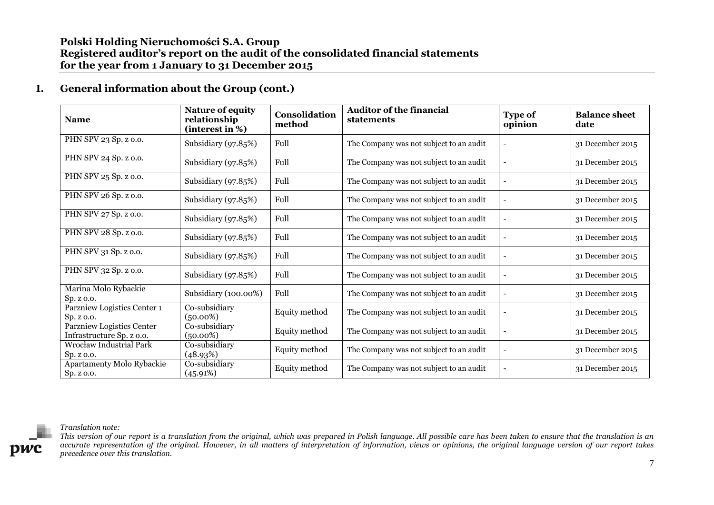| <b>Name</b>                                            | <b>Nature of equity</b><br>relationship<br>(interest in %) | Consolidation<br>method | <b>Auditor of the financial</b><br>statements | <b>Type of</b><br>opinion | <b>Balance sheet</b><br>date |
|--------------------------------------------------------|------------------------------------------------------------|-------------------------|-----------------------------------------------|---------------------------|------------------------------|
| PHN SPV 23 Sp. z o.o.                                  | Subsidiary (97.85%)                                        | Full                    | The Company was not subject to an audit       |                           | 31 December 2015             |
| PHN SPV 24 Sp. z o.o.                                  | Subsidiary (97.85%)                                        | Full                    | The Company was not subject to an audit       |                           | 31 December 2015             |
| PHN SPV 25 Sp. z o.o.                                  | Subsidiary (97.85%)                                        | Full                    | The Company was not subject to an audit       |                           | 31 December 2015             |
| PHN SPV 26 Sp. z o.o.                                  | Subsidiary (97.85%)                                        | Full                    | The Company was not subject to an audit       |                           | 31 December 2015             |
| PHN SPV 27 Sp. z o.o.                                  | Subsidiary (97.85%)                                        | Full                    | The Company was not subject to an audit       |                           | 31 December 2015             |
| PHN SPV 28 Sp. z o.o.                                  | Subsidiary (97.85%)                                        | Full                    | The Company was not subject to an audit       |                           | 31 December 2015             |
| PHN SPV 31 Sp. z o.o.                                  | Subsidiary (97.85%)                                        | Full                    | The Company was not subject to an audit       |                           | 31 December 2015             |
| PHN SPV 32 Sp. z o.o.                                  | Subsidiary (97.85%)                                        | Full                    | The Company was not subject to an audit       |                           | 31 December 2015             |
| Marina Molo Rybackie<br>Sp. z $0.0$ .                  | Subsidiary (100.00%)                                       | Full                    | The Company was not subject to an audit       |                           | 31 December 2015             |
| Parzniew Logistics Center 1<br>Sp. z o.o.              | Co-subsidiary<br>$(50.00\%)$                               | Equity method           | The Company was not subject to an audit       |                           | 31 December 2015             |
| Parzniew Logistics Center<br>Infrastructure Sp. z o.o. | Co-subsidiary<br>$(50.00\%)$                               | Equity method           | The Company was not subject to an audit       |                           | 31 December 2015             |
| Wrocław Industrial Park<br>Sp. z o.o.                  | Co-subsidiary<br>(48.93%)                                  | Equity method           | The Company was not subject to an audit       |                           | 31 December 2015             |
| Apartamenty Molo Rybackie<br>Sp. z o.o.                | Co-subsidiary<br>(45.91%)                                  | Equity method           | The Company was not subject to an audit       |                           | 31 December 2015             |



#### *Translation note:*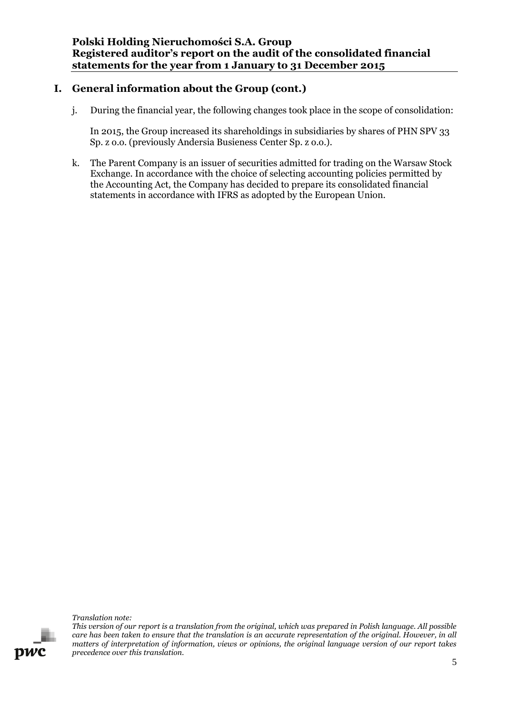j. During the financial year, the following changes took place in the scope of consolidation:

In 2015, the Group increased its shareholdings in subsidiaries by shares of PHN SPV 33 Sp. z o.o. (previously Andersia Busieness Center Sp. z o.o.).

k. The Parent Company is an issuer of securities admitted for trading on the Warsaw Stock Exchange. In accordance with the choice of selecting accounting policies permitted by the Accounting Act, the Company has decided to prepare its consolidated financial statements in accordance with IFRS as adopted by the European Union.

*Translation note:*

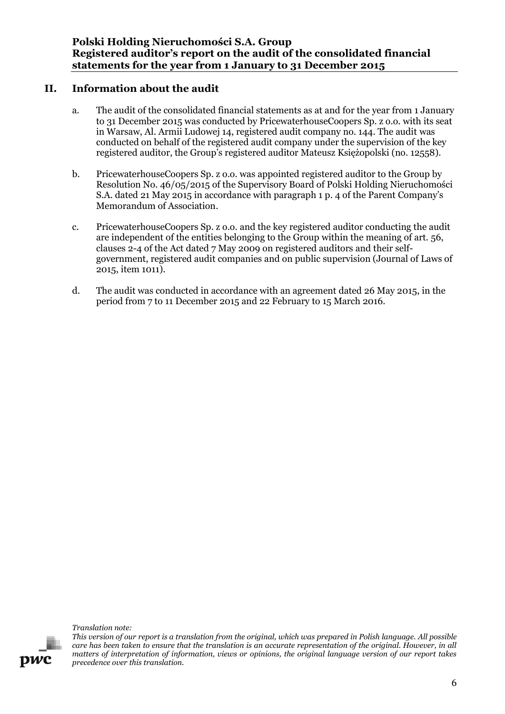## **II. Information about the audit**

- <span id="page-12-0"></span>a. The audit of the consolidated financial statements as at and for the year from 1 January to 31 December 2015 was conducted by PricewaterhouseCoopers Sp. z o.o. with its seat in Warsaw, Al. Armii Ludowej 14, registered audit company no. 144. The audit was conducted on behalf of the registered audit company under the supervision of the key registered auditor, the Group's registered auditor Mateusz Księżopolski (no. 12558).
- b. PricewaterhouseCoopers Sp. z o.o. was appointed registered auditor to the Group by Resolution No. 46/05/2015 of the Supervisory Board of Polski Holding Nieruchomości S.A. dated 21 May 2015 in accordance with paragraph 1 p. 4 of the Parent Company's Memorandum of Association.
- c. PricewaterhouseCoopers Sp. z o.o. and the key registered auditor conducting the audit are independent of the entities belonging to the Group within the meaning of art. 56, clauses 2-4 of the Act dated 7 May 2009 on registered auditors and their selfgovernment, registered audit companies and on public supervision (Journal of Laws of 2015, item 1011).
- d. The audit was conducted in accordance with an agreement dated 26 May 2015, in the period from 7 to 11 December 2015 and 22 February to 15 March 2016.

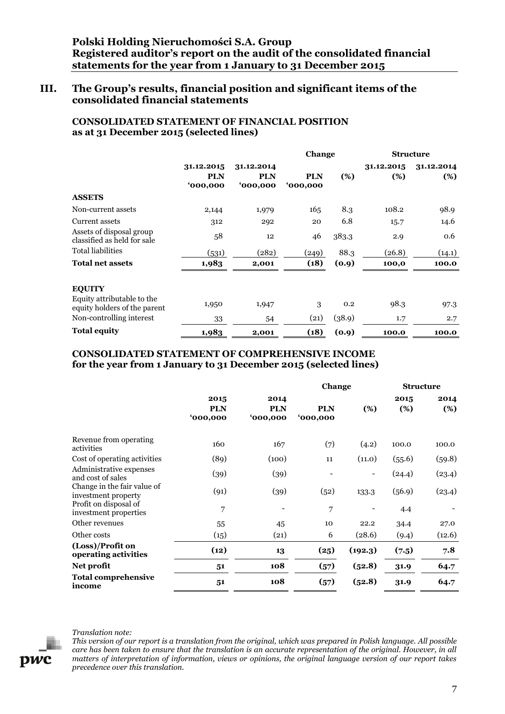## <span id="page-13-0"></span>**III. The Group's results, financial position and significant items of the consolidated financial statements**

## **CONSOLIDATED STATEMENT OF FINANCIAL POSITION as at 31 December 2015 (selected lines)**

|                                                            |                                      |                                      |                       | Change |                   | <b>Structure</b>  |  |
|------------------------------------------------------------|--------------------------------------|--------------------------------------|-----------------------|--------|-------------------|-------------------|--|
|                                                            | 31.12.2015<br><b>PLN</b><br>'000,000 | 31.12.2014<br><b>PLN</b><br>'000,000 | <b>PLN</b><br>000,000 | $(\%)$ | 31.12.2015<br>(%) | 31.12.2014<br>(%) |  |
| <b>ASSETS</b>                                              |                                      |                                      |                       |        |                   |                   |  |
| Non-current assets                                         | 2,144                                | 1,979                                | 165                   | 8.3    | 108.2             | 98.9              |  |
| Current assets                                             | 312                                  | 292                                  | 20                    | 6.8    | 15.7              | 14.6              |  |
| Assets of disposal group<br>classified as held for sale    | 58                                   | 12                                   | 46                    | 383.3  | 2.9               | 0.6               |  |
| <b>Total liabilities</b>                                   | (531)                                | (282)                                | (249)                 | 88.3   | (26.8)            | (14.1)            |  |
| <b>Total net assets</b>                                    | 1,983                                | 2,001                                | (18)                  | (0.9)  | 100,0             | 100.0             |  |
| <b>EQUITY</b>                                              |                                      |                                      |                       |        |                   |                   |  |
| Equity attributable to the<br>equity holders of the parent | 1,950                                | 1,947                                | 3                     | 0.2    | 98.3              | 97.3              |  |
| Non-controlling interest                                   | 33                                   | 54                                   | (21)                  | (38.9) | 1.7               | 2.7               |  |
| <b>Total equity</b>                                        | 1,983                                | 2,001                                | (18)                  | (0.9)  | 100.0             | 100.0             |  |

### **CONSOLIDATED STATEMENT OF COMPREHENSIVE INCOME for the year from 1 January to 31 December 2015 (selected lines)**

|                                                    |                               |                                      | Change                 |         | <b>Structure</b> |             |
|----------------------------------------------------|-------------------------------|--------------------------------------|------------------------|---------|------------------|-------------|
|                                                    | 2015<br><b>PLN</b><br>000,000 | 2014<br><b>PLN</b><br><b>000,000</b> | <b>PLN</b><br>'000,000 | $(\%)$  | 2015<br>(%)      | 2014<br>(%) |
| Revenue from operating<br>activities               | 160                           | 167                                  | (7)                    | (4.2)   | 100.0            | 100.0       |
| Cost of operating activities                       | (89)                          | (100)                                | 11                     | (11.0)  | (55.6)           | (59.8)      |
| Administrative expenses<br>and cost of sales       | (39)                          | (39)                                 |                        |         | (24.4)           | (23.4)      |
| Change in the fair value of<br>investment property | (91)                          | (39)                                 | (52)                   | 133.3   | (56.9)           | (23.4)      |
| Profit on disposal of<br>investment properties     | 7                             |                                      | 7                      |         | 4.4              |             |
| Other revenues                                     | 55                            | 45                                   | 10                     | 22.2    | 34.4             | 27.0        |
| Other costs                                        | (15)                          | (21)                                 | 6                      | (28.6)  | (9.4)            | (12.6)      |
| (Loss)/Profit on<br>operating activities           | (12)                          | 13                                   | (25)                   | (192.3) | (7.5)            | 7.8         |
| Net profit                                         | 51                            | 108                                  | (57)                   | (52.8)  | 31.9             | 64.7        |
| <b>Total comprehensive</b><br>income               | 51                            | 108                                  | (57)                   | (52.8)  | 31.9             | 64.7        |



#### *Translation note:*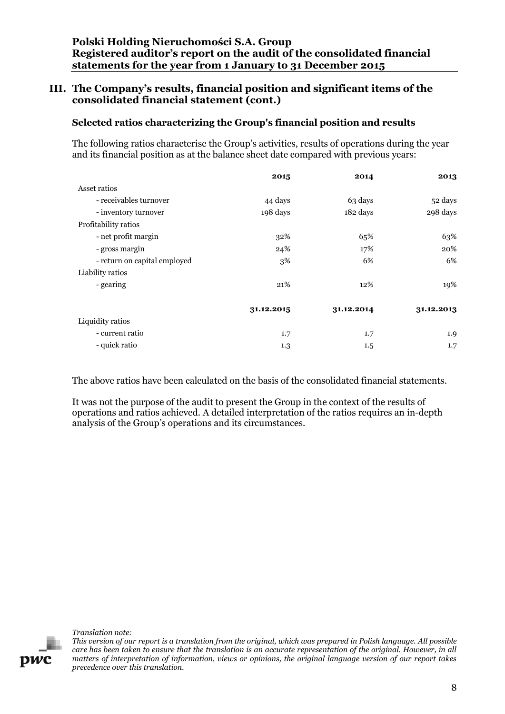## **III. The Company's results, financial position and significant items of the consolidated financial statement (cont.)**

## **Selected ratios characterizing the Group's financial position and results**

The following ratios characterise the Group's activities, results of operations during the year and its financial position as at the balance sheet date compared with previous years:

|                              | 2015       | 2014       | 2013       |
|------------------------------|------------|------------|------------|
| Asset ratios                 |            |            |            |
| - receivables turnover       | 44 days    | 63 days    | 52 days    |
| - inventory turnover         | 198 days   | 182 days   | 298 days   |
| Profitability ratios         |            |            |            |
| - net profit margin          | 32%        | 65%        | 63%        |
| - gross margin               | 24%        | 17%        | 20%        |
| - return on capital employed | 3%         | 6%         | 6%         |
| Liability ratios             |            |            |            |
| - gearing                    | 21%        | 12%        | 19%        |
|                              | 31.12.2015 | 31.12.2014 | 31.12.2013 |
| Liquidity ratios             |            |            |            |
| - current ratio              | 1.7        | 1.7        | 1.9        |
| - quick ratio                | 1.3        | $1.5\,$    | 1.7        |

The above ratios have been calculated on the basis of the consolidated financial statements.

It was not the purpose of the audit to present the Group in the context of the results of operations and ratios achieved. A detailed interpretation of the ratios requires an in-depth analysis of the Group's operations and its circumstances.

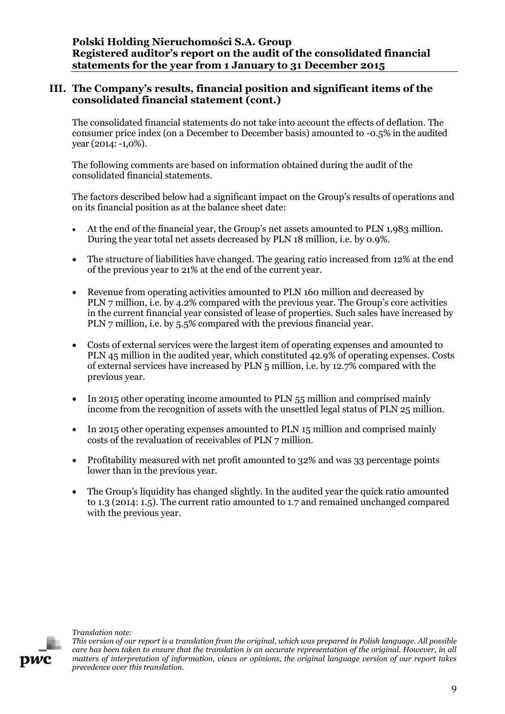## **III. The Company's results, financial position and significant items of the consolidated financial statement (cont.)**

The consolidated financial statements do not take into account the effects of deflation. The consumer price index (on a December to December basis) amounted to -0.5% in the audited year (2014: -1,0%).

The following comments are based on information obtained during the audit of the consolidated financial statements.

The factors described below had a significant impact on the Group's results of operations and on its financial position as at the balance sheet date:

- At the end of the financial year, the Group's net assets amounted to PLN 1,983 million. During the year total net assets decreased by PLN 18 million, i.e. by 0.9%.
- The structure of liabilities have changed. The gearing ratio increased from 12% at the end of the previous year to 21% at the end of the current year.
- Revenue from operating activities amounted to PLN 160 million and decreased by PLN 7 million, i.e. by 4.2% compared with the previous year. The Group's core activities in the current financial year consisted of lease of properties. Such sales have increased by PLN 7 million, i.e. by 5.5% compared with the previous financial year.
- Costs of external services were the largest item of operating expenses and amounted to PLN 45 million in the audited year, which constituted 42.9% of operating expenses. Costs of external services have increased by PLN 5 million, i.e. by 12.7% compared with the previous year.
- In 2015 other operating income amounted to PLN 55 million and comprised mainly income from the recognition of assets with the unsettled legal status of PLN 25 million.
- In 2015 other operating expenses amounted to PLN 15 million and comprised mainly costs of the revaluation of receivables of PLN 7 million.
- Profitability measured with net profit amounted to 32% and was 33 percentage points lower than in the previous year.
- The Group's liquidity has changed slightly. In the audited year the quick ratio amounted to 1.3 (2014: 1.5). The current ratio amounted to 1.7 and remained unchanged compared with the previous year.

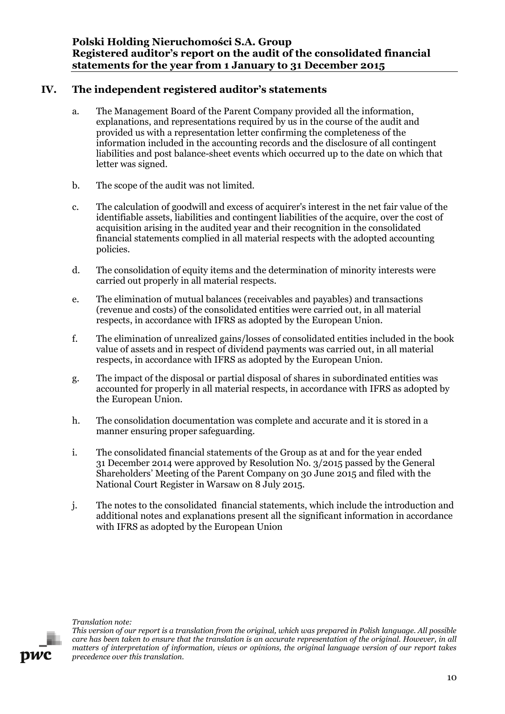# **IV. The independent registered auditor's statements**

- <span id="page-16-0"></span>a. The Management Board of the Parent Company provided all the information, explanations, and representations required by us in the course of the audit and provided us with a representation letter confirming the completeness of the information included in the accounting records and the disclosure of all contingent liabilities and post balance-sheet events which occurred up to the date on which that letter was signed.
- b. The scope of the audit was not limited.
- c. The calculation of goodwill and excess of acquirer's interest in the net fair value of the identifiable assets, liabilities and contingent liabilities of the acquire, over the cost of acquisition arising in the audited year and their recognition in the consolidated financial statements complied in all material respects with the adopted accounting policies.
- d. The consolidation of equity items and the determination of minority interests were carried out properly in all material respects.
- e. The elimination of mutual balances (receivables and payables) and transactions (revenue and costs) of the consolidated entities were carried out, in all material respects, in accordance with IFRS as adopted by the European Union.
- f. The elimination of unrealized gains/losses of consolidated entities included in the book value of assets and in respect of dividend payments was carried out, in all material respects, in accordance with IFRS as adopted by the European Union.
- g. The impact of the disposal or partial disposal of shares in subordinated entities was accounted for properly in all material respects, in accordance with IFRS as adopted by the European Union.
- h. The consolidation documentation was complete and accurate and it is stored in a manner ensuring proper safeguarding.
- i. The consolidated financial statements of the Group as at and for the year ended 31 December 2014 were approved by Resolution No. 3/2015 passed by the General Shareholders' Meeting of the Parent Company on 30 June 2015 and filed with the National Court Register in Warsaw on 8 July 2015.
- j. The notes to the consolidated financial statements, which include the introduction and additional notes and explanations present all the significant information in accordance with IFRS as adopted by the European Union





*This version of our report is a translation from the original, which was prepared in Polish language. All possible care has been taken to ensure that the translation is an accurate representation of the original. However, in all matters of interpretation of information, views or opinions, the original language version of our report takes precedence over this translation.*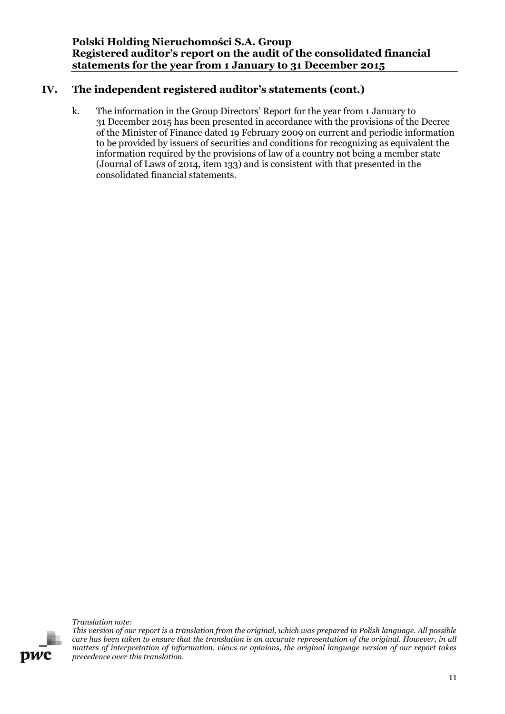# **IV. The independent registered auditor's statements (cont.)**

k. The information in the Group Directors' Report for the year from 1 January to 31 December 2015 has been presented in accordance with the provisions of the Decree of the Minister of Finance dated 19 February 2009 on current and periodic information to be provided by issuers of securities and conditions for recognizing as equivalent the information required by the provisions of law of a country not being a member state (Journal of Laws of 2014, item 133) and is consistent with that presented in the consolidated financial statements.

*Translation note:*